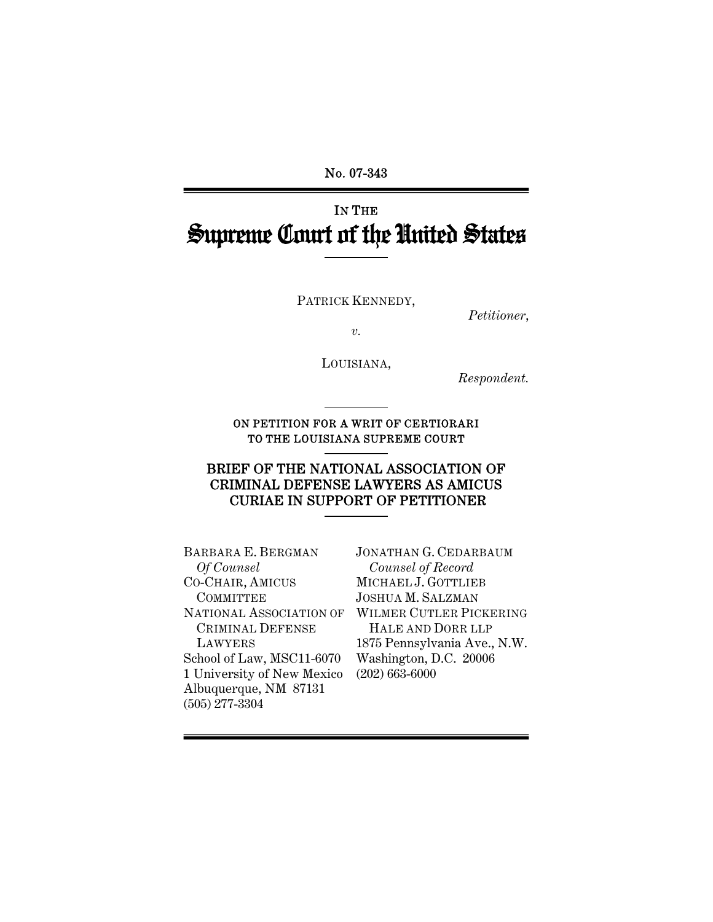No. 07-343

# IN THE Supreme Court of the United States

PATRICK KENNEDY,

*Petitioner*,

*v.* 

LOUISIANA,

*Respondent.* 

ON PETITION FOR A WRIT OF CERTIORARI TO THE LOUISIANA SUPREME COURT

## BRIEF OF THE NATIONAL ASSOCIATION OF CRIMINAL DEFENSE LAWYERS AS AMICUS CURIAE IN SUPPORT OF PETITIONER

BARBARA E. BERGMAN  *Of Counsel* CO-CHAIR, AMICUS COMMITTEE CRIMINAL DEFENSE LAWYERS School of Law, MSC11-6070 1 University of New Mexico (202) 663-6000 Albuquerque, NM 87131 (505) 277-3304

NATIONAL ASSOCIATION OF WILMER CUTLER PICKERING JONATHAN G. CEDARBAUM  *Counsel of Record* MICHAEL J. GOTTLIEB JOSHUA M. SALZMAN HALE AND DORR LLP 1875 Pennsylvania Ave., N.W. Washington, D.C. 20006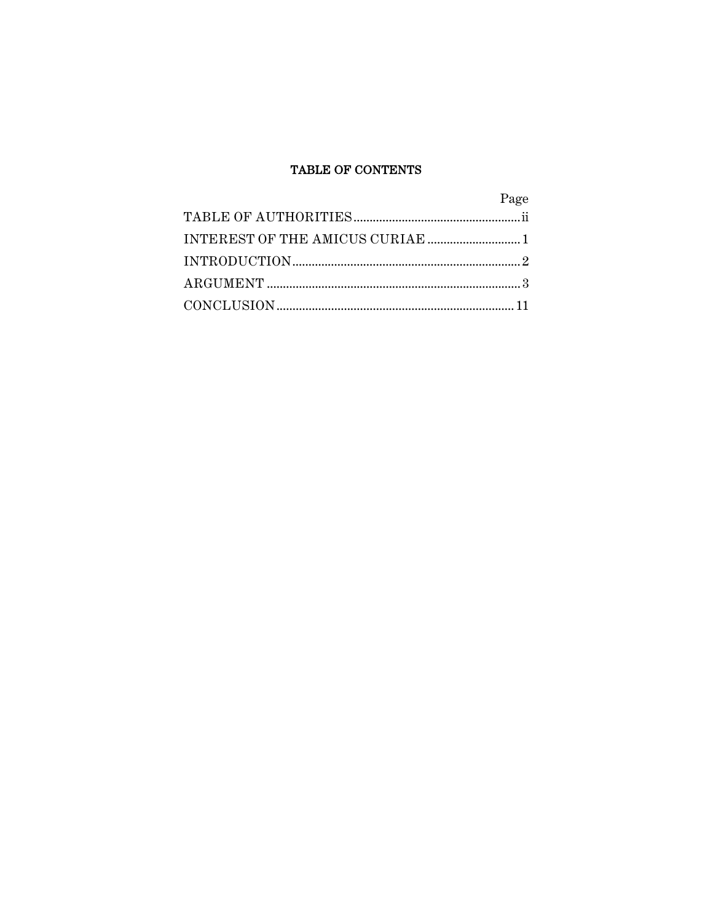## TABLE OF CONTENTS

| Page |
|------|
|      |
|      |
|      |
|      |
|      |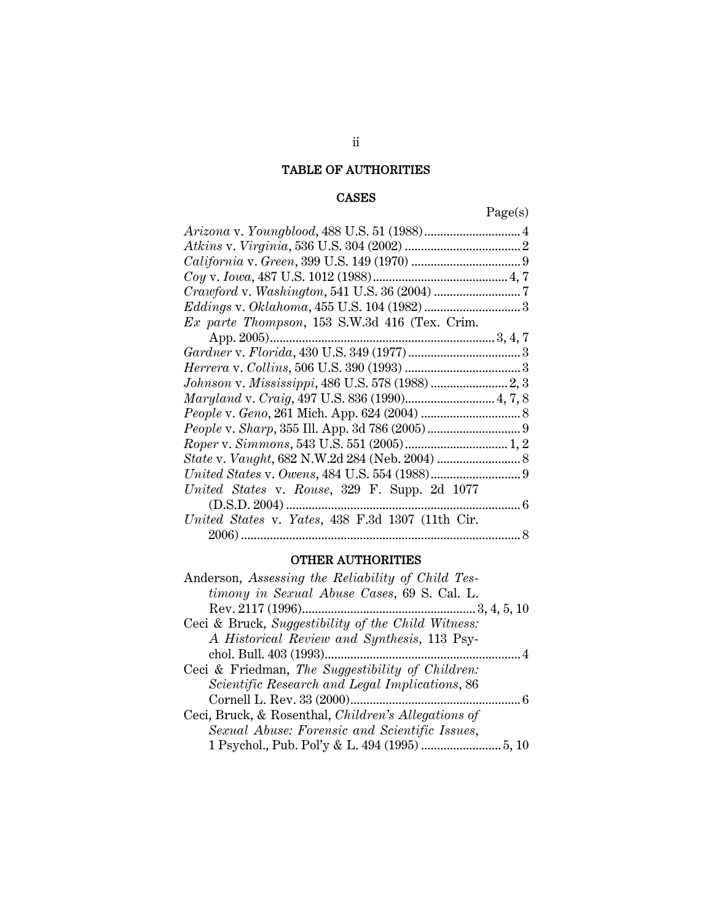# TABLE OF AUTHORITIES

## CASES

Page(s)

| Ex parte Thompson, 153 S.W.3d 416 (Tex. Crim.    |  |
|--------------------------------------------------|--|
|                                                  |  |
|                                                  |  |
|                                                  |  |
|                                                  |  |
|                                                  |  |
|                                                  |  |
|                                                  |  |
|                                                  |  |
|                                                  |  |
|                                                  |  |
| United States v. Rouse, 329 F. Supp. 2d 1077     |  |
|                                                  |  |
| United States v. Yates, 438 F.3d 1307 (11th Cir. |  |
|                                                  |  |

# OTHER AUTHORITIES

| Anderson, Assessing the Reliability of Child Tes-   |
|-----------------------------------------------------|
| timony in Sexual Abuse Cases, 69 S. Cal. L.         |
|                                                     |
| Ceci & Bruck, Suggestibility of the Child Witness:  |
| A Historical Review and Synthesis, 113 Psy-         |
|                                                     |
| Ceci & Friedman, The Suggestibility of Children:    |
| Scientific Research and Legal Implications, 86      |
|                                                     |
| Ceci, Bruck, & Rosenthal, Children's Allegations of |
| Sexual Abuse: Forensic and Scientific Issues,       |
|                                                     |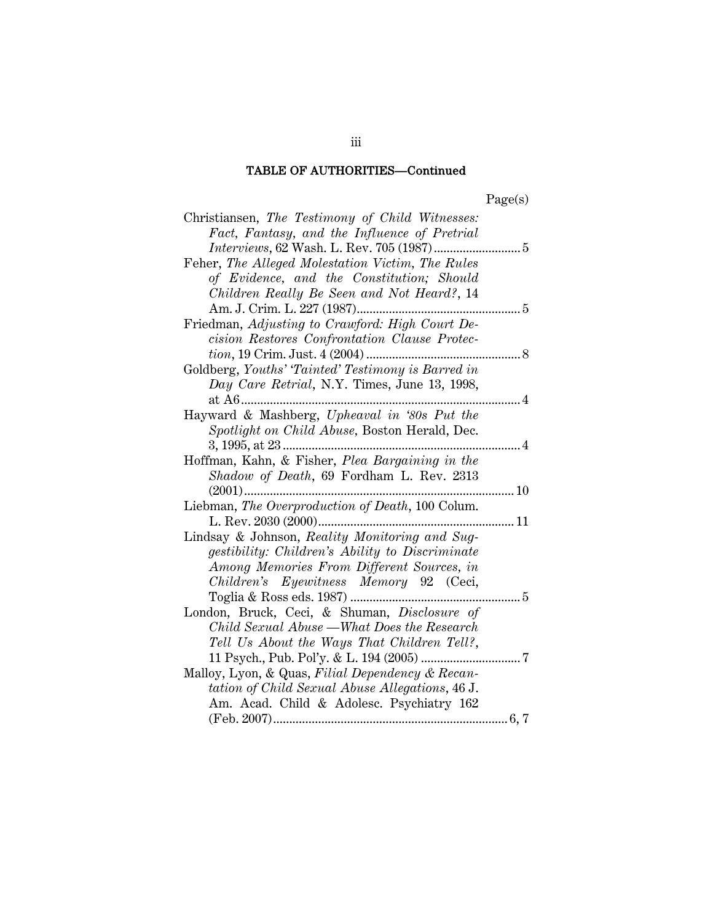## TABLE OF AUTHORITIES—Continued

| Christiansen, The Testimony of Child Witnesses:        |  |
|--------------------------------------------------------|--|
| Fact, Fantasy, and the Influence of Pretrial           |  |
|                                                        |  |
| Feher, The Alleged Molestation Victim, The Rules       |  |
| of Evidence, and the Constitution; Should              |  |
| Children Really Be Seen and Not Heard?, 14             |  |
|                                                        |  |
| Friedman, Adjusting to Crawford: High Court De-        |  |
| cision Restores Confrontation Clause Protec-           |  |
| <i>tion</i> , 19 Crim. Just. 4 (2004)                  |  |
| Goldberg, Youths' 'Tainted' Testimony is Barred in     |  |
| Day Care Retrial, N.Y. Times, June 13, 1998,           |  |
| at A6<br>. 4                                           |  |
| Hayward & Mashberg, Upheaval in '80s Put the           |  |
| Spotlight on Child Abuse, Boston Herald, Dec.          |  |
|                                                        |  |
| Hoffman, Kahn, & Fisher, Plea Bargaining in the        |  |
| Shadow of Death, 69 Fordham L. Rev. 2313               |  |
| $(2001)$<br>10                                         |  |
| Liebman, The Overproduction of Death, 100 Colum.       |  |
| 11                                                     |  |
| Lindsay & Johnson, Reality Monitoring and Sug-         |  |
| <i>gestibility: Children's Ability to Discriminate</i> |  |
| Among Memories From Different Sources, in              |  |
| Children's Eyewitness Memory 92 (Ceci,                 |  |
| 5                                                      |  |
| London, Bruck, Ceci, & Shuman, Disclosure of           |  |
| Child Sexual Abuse —What Does the Research             |  |
| Tell Us About the Ways That Children Tell?,            |  |
| 11 Psych., Pub. Pol'y. & L. 194 (2005)<br>7            |  |
| Malloy, Lyon, & Quas, Filial Dependency & Recan-       |  |
| tation of Child Sexual Abuse Allegations, 46 J.        |  |
| Am. Acad. Child & Adolesc. Psychiatry 162              |  |
|                                                        |  |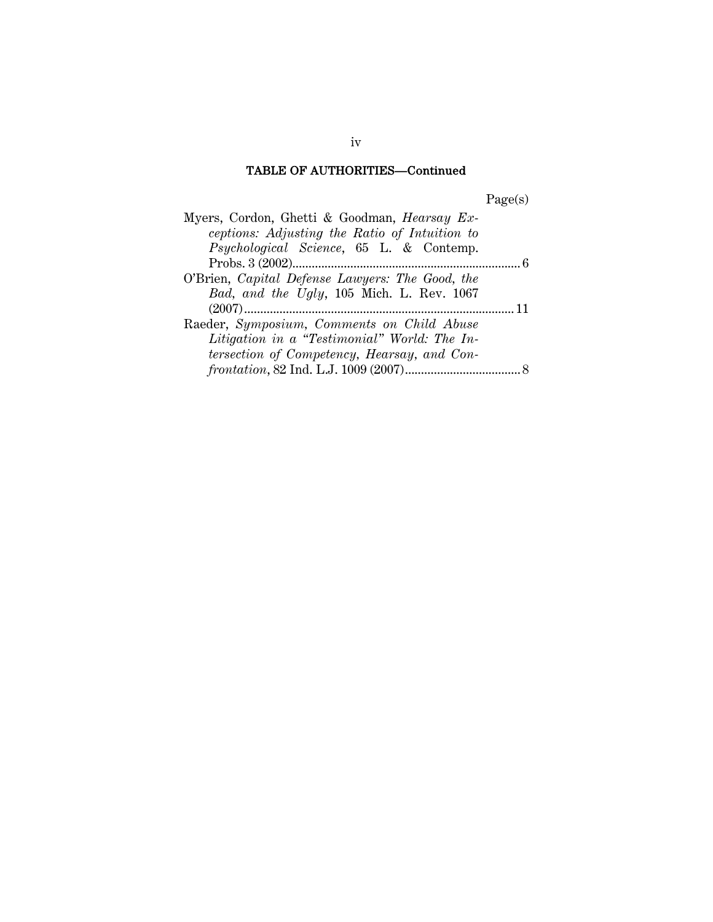# TABLE OF AUTHORITIES—Continued

Page(s)

| Myers, Cordon, Ghetti & Goodman, Hearsay Ex-    |  |
|-------------------------------------------------|--|
| ceptions: Adjusting the Ratio of Intuition to   |  |
| Psychological Science, 65 L. & Contemp.         |  |
|                                                 |  |
| O'Brien, Capital Defense Lawyers: The Good, the |  |
| Bad, and the Ugly, 105 Mich. L. Rev. 1067       |  |
|                                                 |  |
| Raeder, Symposium, Comments on Child Abuse      |  |
| Litigation in a "Testimonial" World: The In-    |  |
| tersection of Competency, Hearsay, and Con-     |  |
|                                                 |  |

iv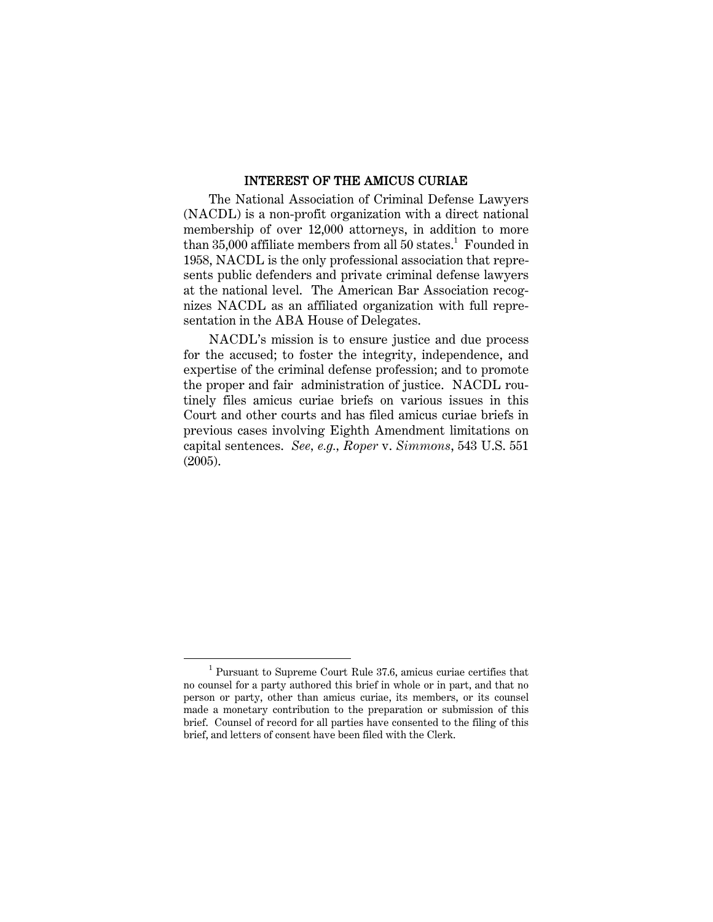### INTEREST OF THE AMICUS CURIAE

The National Association of Criminal Defense Lawyers (NACDL) is a non-profit organization with a direct national membership of over 12,000 attorneys, in addition to more than 35,000 affiliate members from all 50 states.<sup>1</sup> Founded in 1958, NACDL is the only professional association that represents public defenders and private criminal defense lawyers at the national level. The American Bar Association recognizes NACDL as an affiliated organization with full representation in the ABA House of Delegates.

NACDL's mission is to ensure justice and due process for the accused; to foster the integrity, independence, and expertise of the criminal defense profession; and to promote the proper and fair administration of justice. NACDL routinely files amicus curiae briefs on various issues in this Court and other courts and has filed amicus curiae briefs in previous cases involving Eighth Amendment limitations on capital sentences. *See, e.g., Roper* v. *Simmons*, 543 U.S. 551 (2005).

 $\overline{1}$  Pursuant to Supreme Court Rule 37.6, amicus curiae certifies that no counsel for a party authored this brief in whole or in part, and that no person or party, other than amicus curiae, its members, or its counsel made a monetary contribution to the preparation or submission of this brief. Counsel of record for all parties have consented to the filing of this brief, and letters of consent have been filed with the Clerk.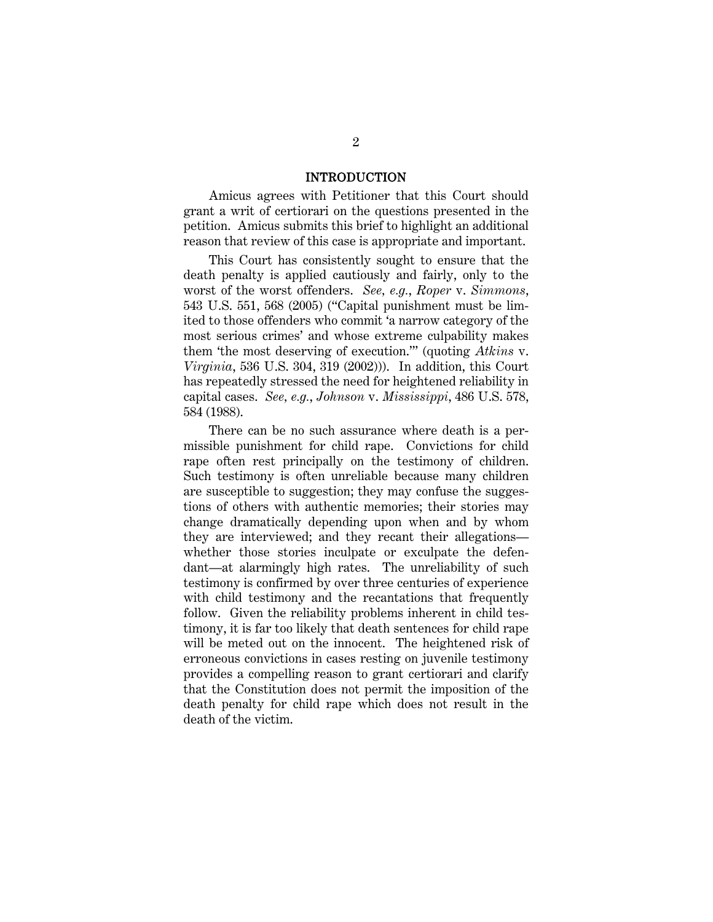#### INTRODUCTION

Amicus agrees with Petitioner that this Court should grant a writ of certiorari on the questions presented in the petition. Amicus submits this brief to highlight an additional reason that review of this case is appropriate and important.

This Court has consistently sought to ensure that the death penalty is applied cautiously and fairly, only to the worst of the worst offenders. *See, e.g.*, *Roper* v. *Simmons*, 543 U.S. 551, 568 (2005) ("Capital punishment must be limited to those offenders who commit 'a narrow category of the most serious crimes' and whose extreme culpability makes them 'the most deserving of execution.'" (quoting *Atkins* v. *Virginia*, 536 U.S. 304, 319 (2002))). In addition, this Court has repeatedly stressed the need for heightened reliability in capital cases. *See, e.g.*, *Johnson* v. *Mississippi*, 486 U.S. 578, 584 (1988).

There can be no such assurance where death is a permissible punishment for child rape. Convictions for child rape often rest principally on the testimony of children. Such testimony is often unreliable because many children are susceptible to suggestion; they may confuse the suggestions of others with authentic memories; their stories may change dramatically depending upon when and by whom they are interviewed; and they recant their allegations whether those stories inculpate or exculpate the defendant—at alarmingly high rates. The unreliability of such testimony is confirmed by over three centuries of experience with child testimony and the recantations that frequently follow. Given the reliability problems inherent in child testimony, it is far too likely that death sentences for child rape will be meted out on the innocent. The heightened risk of erroneous convictions in cases resting on juvenile testimony provides a compelling reason to grant certiorari and clarify that the Constitution does not permit the imposition of the death penalty for child rape which does not result in the death of the victim.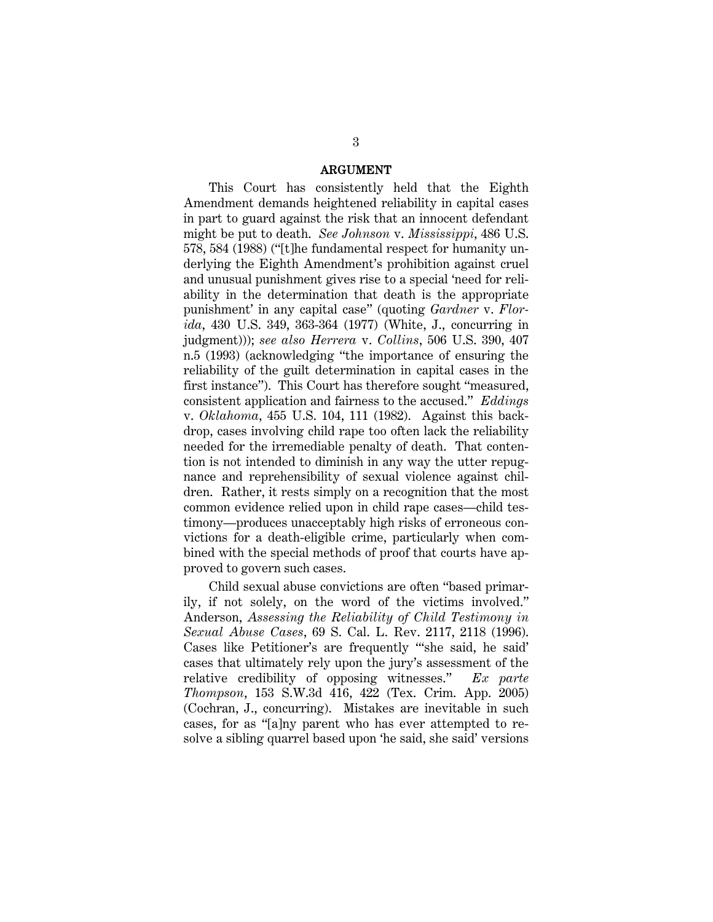#### ARGUMENT

This Court has consistently held that the Eighth Amendment demands heightened reliability in capital cases in part to guard against the risk that an innocent defendant might be put to death. *See Johnson* v. *Mississippi*, 486 U.S. 578, 584 (1988) ("[t]he fundamental respect for humanity underlying the Eighth Amendment's prohibition against cruel and unusual punishment gives rise to a special 'need for reliability in the determination that death is the appropriate punishment' in any capital case" (quoting *Gardner* v. *Florida*, 430 U.S. 349, 363-364 (1977) (White, J., concurring in judgment))); *see also Herrera* v. *Collins*, 506 U.S. 390, 407 n.5 (1993) (acknowledging "the importance of ensuring the reliability of the guilt determination in capital cases in the first instance"). This Court has therefore sought "measured, consistent application and fairness to the accused." *Eddings* v. *Oklahoma*, 455 U.S. 104, 111 (1982). Against this backdrop, cases involving child rape too often lack the reliability needed for the irremediable penalty of death. That contention is not intended to diminish in any way the utter repugnance and reprehensibility of sexual violence against children. Rather, it rests simply on a recognition that the most common evidence relied upon in child rape cases—child testimony—produces unacceptably high risks of erroneous convictions for a death-eligible crime, particularly when combined with the special methods of proof that courts have approved to govern such cases.

Child sexual abuse convictions are often "based primarily, if not solely, on the word of the victims involved." Anderson, *Assessing the Reliability of Child Testimony in Sexual Abuse Cases*, 69 S. Cal. L. Rev. 2117, 2118 (1996). Cases like Petitioner's are frequently "'she said, he said' cases that ultimately rely upon the jury's assessment of the relative credibility of opposing witnesses." *Ex parte Thompson*, 153 S.W.3d 416, 422 (Tex. Crim. App. 2005) (Cochran, J., concurring). Mistakes are inevitable in such cases, for as "[a]ny parent who has ever attempted to resolve a sibling quarrel based upon 'he said, she said' versions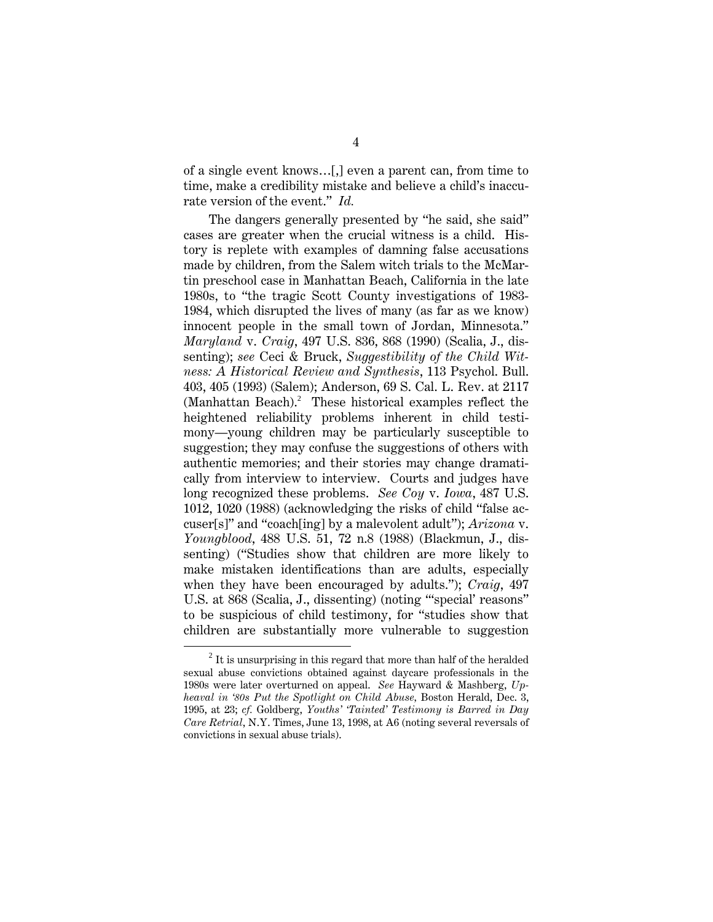of a single event knows…[,] even a parent can, from time to time, make a credibility mistake and believe a child's inaccurate version of the event." *Id.*

The dangers generally presented by "he said, she said" cases are greater when the crucial witness is a child. History is replete with examples of damning false accusations made by children, from the Salem witch trials to the McMartin preschool case in Manhattan Beach, California in the late 1980s, to "the tragic Scott County investigations of 1983- 1984, which disrupted the lives of many (as far as we know) innocent people in the small town of Jordan, Minnesota." *Maryland* v. *Craig*, 497 U.S. 836, 868 (1990) (Scalia, J., dissenting); *see* Ceci & Bruck, *Suggestibility of the Child Witness: A Historical Review and Synthesis*, 113 Psychol. Bull. 403, 405 (1993) (Salem); Anderson, 69 S. Cal. L. Rev. at 2117 (Manhattan Beach).<sup>2</sup> These historical examples reflect the heightened reliability problems inherent in child testimony—young children may be particularly susceptible to suggestion; they may confuse the suggestions of others with authentic memories; and their stories may change dramatically from interview to interview. Courts and judges have long recognized these problems. *See Coy* v. *Iowa*, 487 U.S. 1012, 1020 (1988) (acknowledging the risks of child "false accuser[s]" and "coach[ing] by a malevolent adult"); *Arizona* v. *Youngblood*, 488 U.S. 51, 72 n.8 (1988) (Blackmun, J., dissenting) ("Studies show that children are more likely to make mistaken identifications than are adults, especially when they have been encouraged by adults."); *Craig*, 497 U.S. at 868 (Scalia, J., dissenting) (noting "'special' reasons" to be suspicious of child testimony, for "studies show that children are substantially more vulnerable to suggestion

<sup>2</sup>  $<sup>2</sup>$  It is unsurprising in this regard that more than half of the heralded</sup> sexual abuse convictions obtained against daycare professionals in the 1980s were later overturned on appeal. *See* Hayward & Mashberg, *Upheaval in '80s Put the Spotlight on Child Abuse,* Boston Herald, Dec. 3, 1995, at 23; *cf.* Goldberg, *Youths' 'Tainted' Testimony is Barred in Day Care Retrial*, N.Y. Times, June 13, 1998, at A6 (noting several reversals of convictions in sexual abuse trials).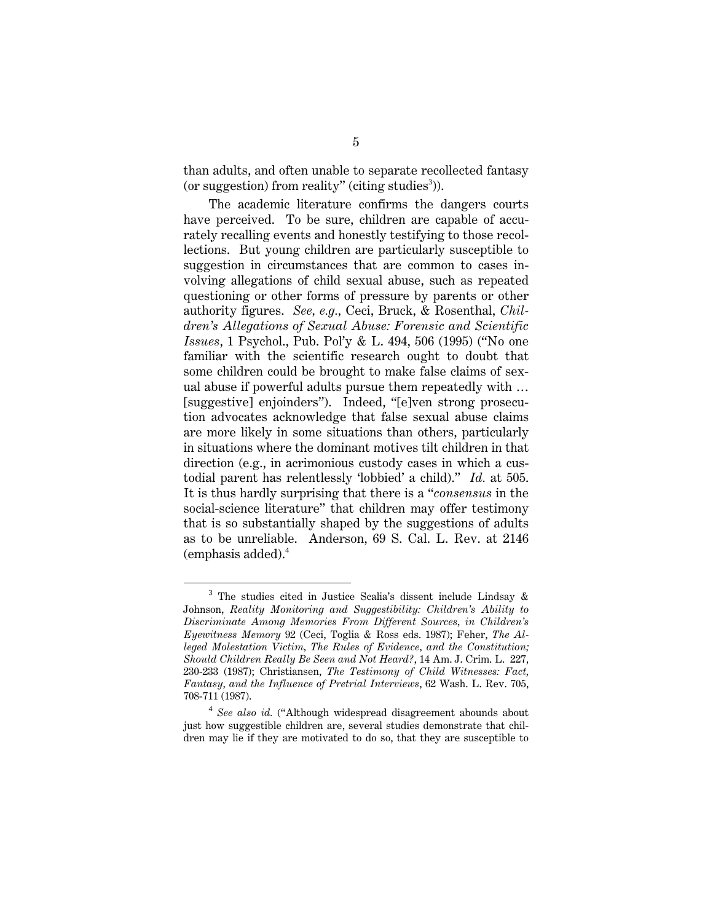than adults, and often unable to separate recollected fantasy (or suggestion) from reality" (citing studies<sup>3</sup>)).

The academic literature confirms the dangers courts have perceived. To be sure, children are capable of accurately recalling events and honestly testifying to those recollections. But young children are particularly susceptible to suggestion in circumstances that are common to cases involving allegations of child sexual abuse, such as repeated questioning or other forms of pressure by parents or other authority figures. *See, e.g.,* Ceci, Bruck, & Rosenthal, *Children's Allegations of Sexual Abuse: Forensic and Scientific Issues*, 1 Psychol., Pub. Pol'y & L. 494, 506 (1995) ("No one familiar with the scientific research ought to doubt that some children could be brought to make false claims of sexual abuse if powerful adults pursue them repeatedly with … [suggestive] enjoinders"). Indeed, "[e]ven strong prosecution advocates acknowledge that false sexual abuse claims are more likely in some situations than others, particularly in situations where the dominant motives tilt children in that direction (e.g., in acrimonious custody cases in which a custodial parent has relentlessly 'lobbied' a child)." *Id.* at 505. It is thus hardly surprising that there is a "*consensus* in the social-science literature" that children may offer testimony that is so substantially shaped by the suggestions of adults as to be unreliable. Anderson, 69 S. Cal. L. Rev. at 2146 (emphasis added).<sup>4</sup>

<sup>3</sup> <sup>3</sup> The studies cited in Justice Scalia's dissent include Lindsay  $\&$ Johnson, *Reality Monitoring and Suggestibility: Children's Ability to Discriminate Among Memories From Different Sources, in Children's Eyewitness Memory* 92 (Ceci, Toglia & Ross eds. 1987); Feher, *The Alleged Molestation Victim, The Rules of Evidence, and the Constitution; Should Children Really Be Seen and Not Heard?*, 14 Am. J. Crim. L. 227, 230-233 (1987); Christiansen, *The Testimony of Child Witnesses: Fact, Fantasy, and the Influence of Pretrial Interviews*, 62 Wash. L. Rev. 705, 708-711 (1987).

<sup>4</sup> *See also id.* ("Although widespread disagreement abounds about just how suggestible children are, several studies demonstrate that children may lie if they are motivated to do so, that they are susceptible to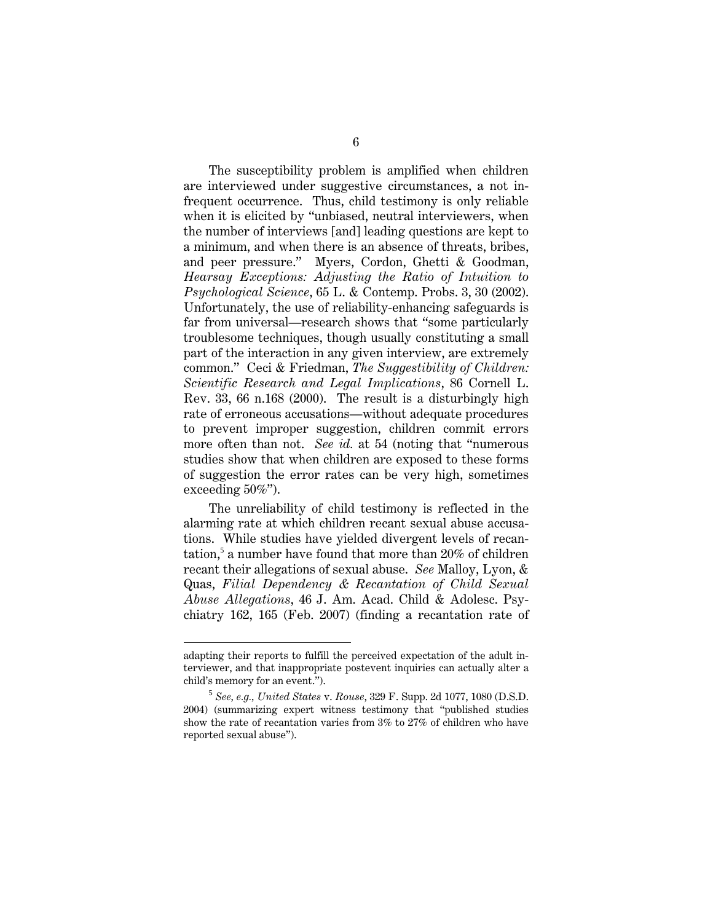The susceptibility problem is amplified when children are interviewed under suggestive circumstances, a not infrequent occurrence. Thus, child testimony is only reliable when it is elicited by "unbiased, neutral interviewers, when the number of interviews [and] leading questions are kept to a minimum, and when there is an absence of threats, bribes, and peer pressure." Myers, Cordon, Ghetti & Goodman, *Hearsay Exceptions: Adjusting the Ratio of Intuition to Psychological Science*, 65 L. & Contemp. Probs. 3, 30 (2002). Unfortunately, the use of reliability-enhancing safeguards is far from universal—research shows that "some particularly troublesome techniques, though usually constituting a small part of the interaction in any given interview, are extremely common." Ceci & Friedman, *The Suggestibility of Children: Scientific Research and Legal Implications*, 86 Cornell L. Rev. 33, 66 n.168 (2000). The result is a disturbingly high rate of erroneous accusations—without adequate procedures to prevent improper suggestion, children commit errors more often than not. *See id.* at 54 (noting that "numerous" studies show that when children are exposed to these forms of suggestion the error rates can be very high, sometimes exceeding 50%").

The unreliability of child testimony is reflected in the alarming rate at which children recant sexual abuse accusations. While studies have yielded divergent levels of recantation,<sup>5</sup> a number have found that more than 20% of children recant their allegations of sexual abuse. *See* Malloy, Lyon, & Quas, *Filial Dependency & Recantation of Child Sexual Abuse Allegations*, 46 J. Am. Acad. Child & Adolesc. Psychiatry 162, 165 (Feb. 2007) (finding a recantation rate of

1

adapting their reports to fulfill the perceived expectation of the adult interviewer, and that inappropriate postevent inquiries can actually alter a child's memory for an event.").

<sup>5</sup> *See, e.g., United States* v. *Rouse*, 329 F. Supp. 2d 1077, 1080 (D.S.D. 2004) (summarizing expert witness testimony that "published studies show the rate of recantation varies from 3% to 27% of children who have reported sexual abuse").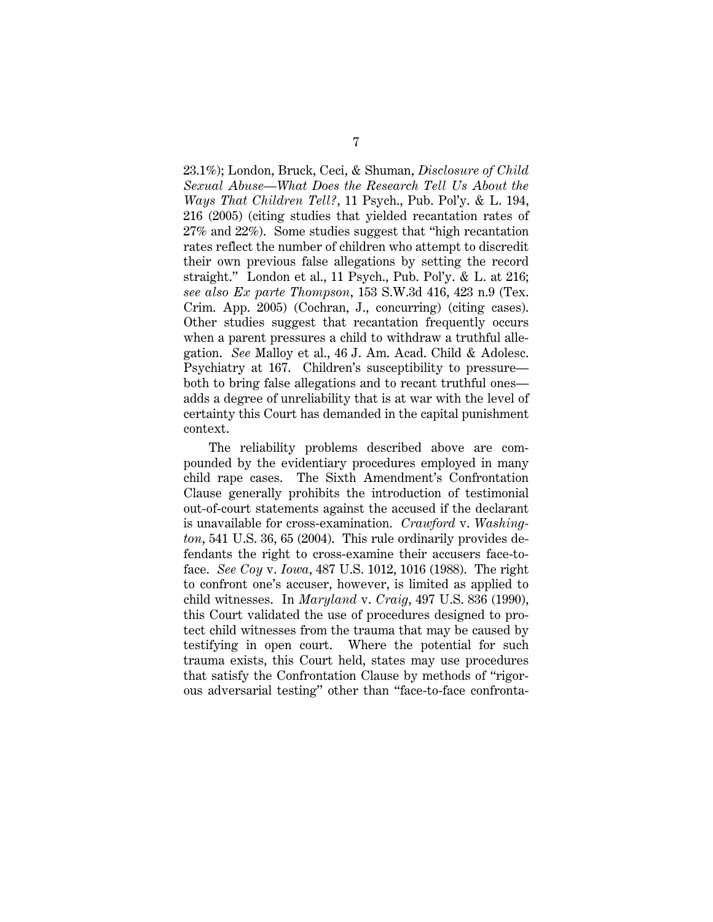23.1%); London, Bruck, Ceci, & Shuman, *Disclosure of Child Sexual Abuse—What Does the Research Tell Us About the Ways That Children Tell?*, 11 Psych., Pub. Pol'y. & L. 194, 216 (2005) (citing studies that yielded recantation rates of 27% and 22%). Some studies suggest that "high recantation rates reflect the number of children who attempt to discredit their own previous false allegations by setting the record straight." London et al., 11 Psych., Pub. Pol'y. & L. at 216; *see also Ex parte Thompson*, 153 S.W.3d 416, 423 n.9 (Tex. Crim. App. 2005) (Cochran, J., concurring) (citing cases). Other studies suggest that recantation frequently occurs when a parent pressures a child to withdraw a truthful allegation. *See* Malloy et al., 46 J. Am. Acad. Child & Adolesc. Psychiatry at 167. Children's susceptibility to pressure both to bring false allegations and to recant truthful ones adds a degree of unreliability that is at war with the level of certainty this Court has demanded in the capital punishment context.

The reliability problems described above are compounded by the evidentiary procedures employed in many child rape cases. The Sixth Amendment's Confrontation Clause generally prohibits the introduction of testimonial out-of-court statements against the accused if the declarant is unavailable for cross-examination. *Crawford* v. *Washington*, 541 U.S. 36, 65 (2004). This rule ordinarily provides defendants the right to cross-examine their accusers face-toface. *See Coy* v. *Iowa*, 487 U.S. 1012, 1016 (1988). The right to confront one's accuser, however, is limited as applied to child witnesses. In *Maryland* v. *Craig*, 497 U.S. 836 (1990), this Court validated the use of procedures designed to protect child witnesses from the trauma that may be caused by testifying in open court. Where the potential for such trauma exists, this Court held, states may use procedures that satisfy the Confrontation Clause by methods of "rigorous adversarial testing" other than "face-to-face confronta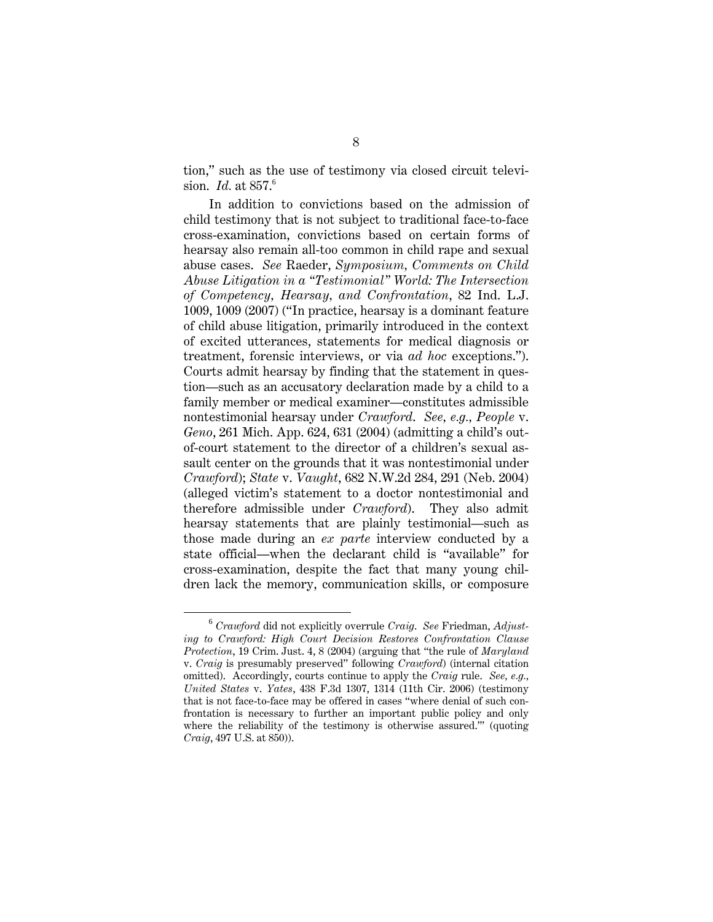tion," such as the use of testimony via closed circuit television. *Id.* at 857.<sup>6</sup>

In addition to convictions based on the admission of child testimony that is not subject to traditional face-to-face cross-examination, convictions based on certain forms of hearsay also remain all-too common in child rape and sexual abuse cases. *See* Raeder, *Symposium, Comments on Child Abuse Litigation in a "Testimonial" World: The Intersection of Competency, Hearsay, and Confrontation*, 82 Ind. L.J. 1009, 1009 (2007) ("In practice, hearsay is a dominant feature of child abuse litigation, primarily introduced in the context of excited utterances, statements for medical diagnosis or treatment, forensic interviews, or via *ad hoc* exceptions."). Courts admit hearsay by finding that the statement in question—such as an accusatory declaration made by a child to a family member or medical examiner—constitutes admissible nontestimonial hearsay under *Crawford*. *See, e.g., People* v. *Geno*, 261 Mich. App. 624, 631 (2004) (admitting a child's outof-court statement to the director of a children's sexual assault center on the grounds that it was nontestimonial under *Crawford*); *State* v. *Vaught*, 682 N.W.2d 284, 291 (Neb. 2004) (alleged victim's statement to a doctor nontestimonial and therefore admissible under *Crawford*). They also admit hearsay statements that are plainly testimonial—such as those made during an *ex parte* interview conducted by a state official—when the declarant child is "available" for cross-examination, despite the fact that many young children lack the memory, communication skills, or composure

<sup>6</sup> *Crawford* did not explicitly overrule *Craig*. *See* Friedman, *Adjusting to Crawford: High Court Decision Restores Confrontation Clause Protection*, 19 Crim. Just. 4, 8 (2004) (arguing that "the rule of *Maryland* v. *Craig* is presumably preserved" following *Crawford*) (internal citation omitted). Accordingly, courts continue to apply the *Craig* rule. *See, e.g., United States* v. *Yates*, 438 F.3d 1307, 1314 (11th Cir. 2006) (testimony that is not face-to-face may be offered in cases "where denial of such confrontation is necessary to further an important public policy and only where the reliability of the testimony is otherwise assured.'" (quoting *Craig*, 497 U.S. at 850)).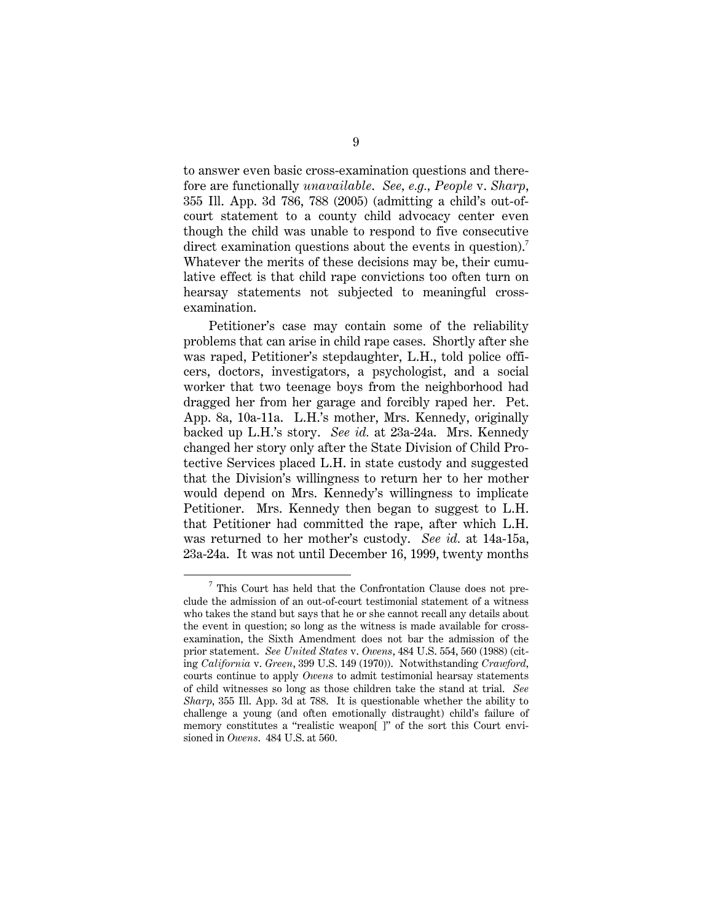to answer even basic cross-examination questions and therefore are functionally *unavailable*. *See, e.g., People* v. *Sharp*, 355 Ill. App. 3d 786, 788 (2005) (admitting a child's out-ofcourt statement to a county child advocacy center even though the child was unable to respond to five consecutive direct examination questions about the events in question).<sup>7</sup> Whatever the merits of these decisions may be, their cumulative effect is that child rape convictions too often turn on hearsay statements not subjected to meaningful crossexamination.

Petitioner's case may contain some of the reliability problems that can arise in child rape cases. Shortly after she was raped, Petitioner's stepdaughter, L.H., told police officers, doctors, investigators, a psychologist, and a social worker that two teenage boys from the neighborhood had dragged her from her garage and forcibly raped her. Pet. App. 8a, 10a-11a. L.H.'s mother, Mrs. Kennedy, originally backed up L.H.'s story. *See id.* at 23a-24a. Mrs. Kennedy changed her story only after the State Division of Child Protective Services placed L.H. in state custody and suggested that the Division's willingness to return her to her mother would depend on Mrs. Kennedy's willingness to implicate Petitioner. Mrs. Kennedy then began to suggest to L.H. that Petitioner had committed the rape, after which L.H. was returned to her mother's custody. *See id.* at 14a-15a, 23a-24a.It was not until December 16, 1999, twenty months

 $\overline{7}$  $\frac{7}{7}$  This Court has held that the Confrontation Clause does not preclude the admission of an out-of-court testimonial statement of a witness who takes the stand but says that he or she cannot recall any details about the event in question; so long as the witness is made available for crossexamination, the Sixth Amendment does not bar the admission of the prior statement. *See United States* v. *Owens*, 484 U.S. 554, 560 (1988) (citing *California* v. *Green*, 399 U.S. 149 (1970)). Notwithstanding *Crawford,*  courts continue to apply *Owens* to admit testimonial hearsay statements of child witnesses so long as those children take the stand at trial. *See Sharp*, 355 Ill. App. 3d at 788. It is questionable whether the ability to challenge a young (and often emotionally distraught) child's failure of memory constitutes a "realistic weapon[ ]" of the sort this Court envisioned in *Owens*. 484 U.S. at 560.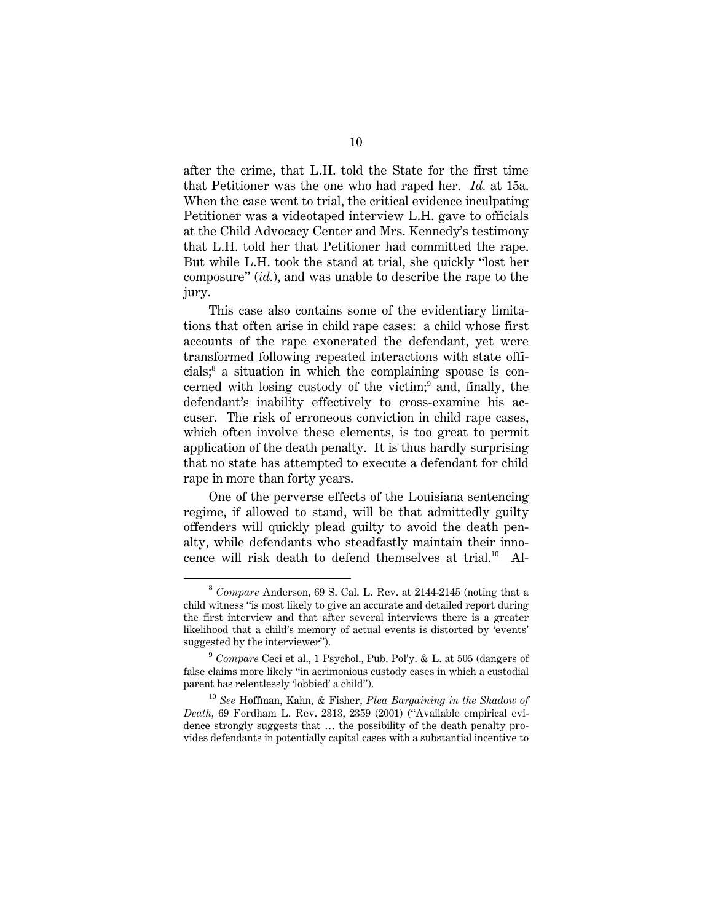after the crime, that L.H. told the State for the first time that Petitioner was the one who had raped her. *Id.* at 15a. When the case went to trial, the critical evidence inculpating Petitioner was a videotaped interview L.H. gave to officials at the Child Advocacy Center and Mrs. Kennedy's testimony that L.H. told her that Petitioner had committed the rape. But while L.H. took the stand at trial, she quickly "lost her composure" (*id.*), and was unable to describe the rape to the jury.

This case also contains some of the evidentiary limitations that often arise in child rape cases: a child whose first accounts of the rape exonerated the defendant, yet were transformed following repeated interactions with state officials;<sup>8</sup> a situation in which the complaining spouse is concerned with losing custody of the victim;<sup>9</sup> and, finally, the defendant's inability effectively to cross-examine his accuser. The risk of erroneous conviction in child rape cases, which often involve these elements, is too great to permit application of the death penalty. It is thus hardly surprising that no state has attempted to execute a defendant for child rape in more than forty years.

One of the perverse effects of the Louisiana sentencing regime, if allowed to stand, will be that admittedly guilty offenders will quickly plead guilty to avoid the death penalty, while defendants who steadfastly maintain their innocence will risk death to defend themselves at trial.<sup>10</sup> Al-

<sup>8</sup> *Compare* Anderson, 69 S. Cal. L. Rev. at 2144-2145 (noting that a child witness "is most likely to give an accurate and detailed report during the first interview and that after several interviews there is a greater likelihood that a child's memory of actual events is distorted by 'events' suggested by the interviewer").

<sup>9</sup> *Compare* Ceci et al., 1 Psychol., Pub. Pol'y. & L. at 505 (dangers of false claims more likely "in acrimonious custody cases in which a custodial parent has relentlessly 'lobbied' a child").

<sup>10</sup> *See* Hoffman, Kahn, & Fisher, *Plea Bargaining in the Shadow of Death,* 69 Fordham L. Rev. 2313, 2359 (2001) ("Available empirical evidence strongly suggests that … the possibility of the death penalty provides defendants in potentially capital cases with a substantial incentive to